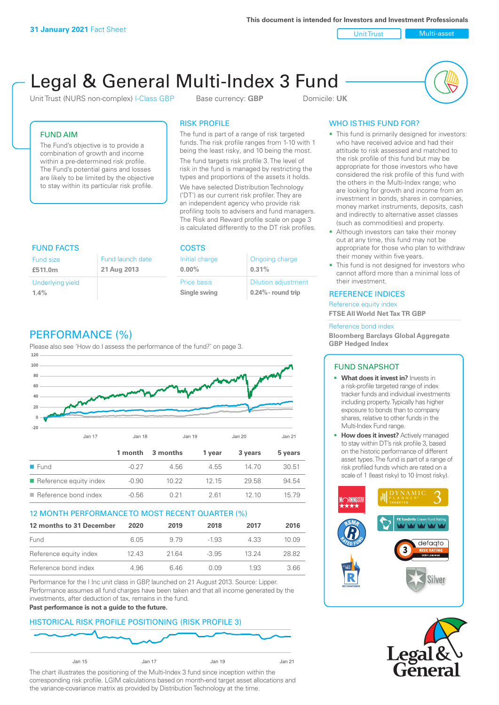**This document is intended for Investors and Investment Professionals**

Unit Trust Nulti-asset

# Legal & General Multi-Index 3 Fund

Unit Trust (NURS non-complex) I-Class GBP Base currency: **GBP** Domicile: UK



## FUND AIM

The Fund's objective is to provide a combination of growth and income within a pre-determined risk profile. The Fund's potential gains and losses are likely to be limited by the objective to stay within its particular risk profile.

#### RISK PROFILE

The fund is part of a range of risk targeted funds. The risk profile ranges from 1-10 with 1 being the least risky, and 10 being the most.

The fund targets risk profile 3. The level of risk in the fund is managed by restricting the types and proportions of the assets it holds. We have selected Distribution Technology ('DT') as our current risk profiler. They are an independent agency who provide risk profiling tools to advisers and fund managers. The Risk and Reward profile scale on page 3 is calculated differently to the DT risk profiles.

| <b>FUND FACTS</b> |                  | <b>COSTS</b>   |                            |  |
|-------------------|------------------|----------------|----------------------------|--|
| <b>Fund size</b>  | Fund launch date | Initial charge | Ongoing charge             |  |
| £511.0m           | 21 Aug 2013      | $0.00\%$       | 0.31%                      |  |
| Underlying yield  |                  | Price basis    | <b>Dilution adjustment</b> |  |
| 1.4%              |                  | Single swing   | $0.24\%$ - round trip      |  |

# PERFORMANCE (%)

Please also see 'How do I assess the performance of the fund?' on page 3.



#### 12 MONTH PERFORMANCE TO MOST RECENT QUARTER (%)

| 12 months to 31 December | 2020 | 2019  | 2018    | 2017  | 2016  |
|--------------------------|------|-------|---------|-------|-------|
| Fund                     | 6.05 | 9.79  | -1.93   | 4.33  | 10.09 |
| Reference equity index   | 1243 | 21.64 | $-3.95$ | 13 24 | 28.82 |
| Reference bond index     | 4.96 | 646   | O O.9   | 1.93  | 3.66  |

Performance for the I Inc unit class in GBP, launched on 21 August 2013. Source: Lipper. Performance assumes all fund charges have been taken and that all income generated by the investments, after deduction of tax, remains in the fund.

#### **Past performance is not a guide to the future.**

#### HISTORICAL RISK PROFILE POSITIONING (RISK PROFILE 3)



The chart illustrates the positioning of the Multi-Index 3 fund since inception within the corresponding risk profile. LGIM calculations based on month-end target asset allocations and the variance-covariance matrix as provided by Distribution Technology at the time.

## WHO IS THIS FUND FOR?

- This fund is primarily designed for investors: who have received advice and had their attitude to risk assessed and matched to the risk profile of this fund but may be appropriate for those investors who have considered the risk profile of this fund with the others in the Multi-Index range; who are looking for growth and income from an investment in bonds, shares in companies, money market instruments, deposits, cash and indirectly to alternative asset classes (such as commodities) and property.
- Although investors can take their money out at any time, this fund may not be appropriate for those who plan to withdraw their money within five years.
- This fund is not designed for investors who cannot afford more than a minimal loss of their investment.

#### REFERENCE INDICES

Reference equity index **FTSE All World Net Tax TR GBP**

#### Reference bond index

**Bloomberg Barclays Global Aggregate GBP Hedged Index**

#### FUND SNAPSHOT

- **• What does it invest in?** Invests in a risk-profile targeted range of index tracker funds and individual investments including property. Typically has higher exposure to bonds than to company shares, relative to other funds in the Multi-Index Fund range.
- **• How does it invest?** Actively managed to stay within DT's risk profile 3, based on the historic performance of different asset types. The fund is part of a range of risk profiled funds which are rated on a scale of 1 (least risky) to 10 (most risky).



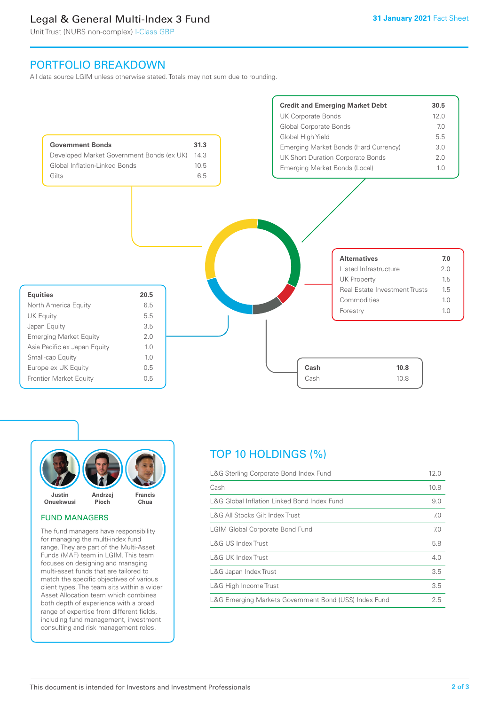# Legal & General Multi-Index 3 Fund

Unit Trust (NURS non-complex) I-Class GBP

# PORTFOLIO BREAKDOWN

All data source LGIM unless otherwise stated. Totals may not sum due to rounding.





#### FUND MANAGERS

The fund managers have responsibility for managing the multi-index fund range. They are part of the Multi-Asset Funds (MAF) team in LGIM. This team focuses on designing and managing multi-asset funds that are tailored to match the specific objectives of various client types. The team sits within a wider Asset Allocation team which combines both depth of experience with a broad range of expertise from different fields, including fund management, investment consulting and risk management roles.

# TOP 10 HOLDINGS (%)

| L&G Sterling Corporate Bond Index Fund                 | 12.0 |
|--------------------------------------------------------|------|
| Cash                                                   | 10.8 |
| L&G Global Inflation Linked Bond Index Fund            | 9.0  |
| L&G All Stocks Gilt Index Trust                        | 7.0  |
| <b>LGIM Global Corporate Bond Fund</b>                 | 7.0  |
| L&G US Index Trust                                     | 5.8  |
| <b>L&amp;G UK Index Trust</b>                          | 4.0  |
| L&G Japan Index Trust                                  | 3.5  |
| L&G High Income Trust                                  | 3.5  |
| L&G Emerging Markets Government Bond (US\$) Index Fund | 2.5  |